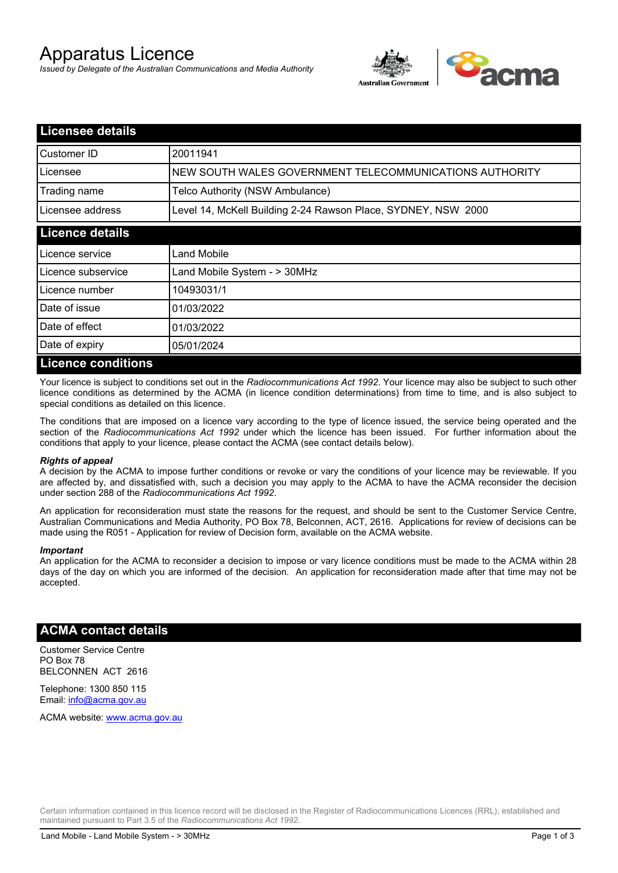# Apparatus Licence

*Issued by Delegate of the Australian Communications and Media Authority*



| <b>Licensee details</b>   |                                                               |
|---------------------------|---------------------------------------------------------------|
| Customer ID               | 20011941                                                      |
| Licensee                  | NEW SOUTH WALES GOVERNMENT TELECOMMUNICATIONS AUTHORITY       |
| Trading name              | Telco Authority (NSW Ambulance)                               |
| Licensee address          | Level 14, McKell Building 2-24 Rawson Place, SYDNEY, NSW 2000 |
| <b>Licence details</b>    |                                                               |
| l Licence service         | <b>Land Mobile</b>                                            |
| Licence subservice        | Land Mobile System - > 30MHz                                  |
| Licence number            | 10493031/1                                                    |
| Date of issue             | 01/03/2022                                                    |
| Date of effect            | 01/03/2022                                                    |
| Date of expiry            | 05/01/2024                                                    |
| <b>Licence conditions</b> |                                                               |

Your licence is subject to conditions set out in the *Radiocommunications Act 1992*. Your licence may also be subject to such other licence conditions as determined by the ACMA (in licence condition determinations) from time to time, and is also subject to special conditions as detailed on this licence.

The conditions that are imposed on a licence vary according to the type of licence issued, the service being operated and the section of the *Radiocommunications Act 1992* under which the licence has been issued. For further information about the conditions that apply to your licence, please contact the ACMA (see contact details below).

#### *Rights of appeal*

A decision by the ACMA to impose further conditions or revoke or vary the conditions of your licence may be reviewable. If you are affected by, and dissatisfied with, such a decision you may apply to the ACMA to have the ACMA reconsider the decision under section 288 of the *Radiocommunications Act 1992*.

An application for reconsideration must state the reasons for the request, and should be sent to the Customer Service Centre, Australian Communications and Media Authority, PO Box 78, Belconnen, ACT, 2616. Applications for review of decisions can be made using the R051 - Application for review of Decision form, available on the ACMA website.

#### *Important*

An application for the ACMA to reconsider a decision to impose or vary licence conditions must be made to the ACMA within 28 days of the day on which you are informed of the decision. An application for reconsideration made after that time may not be accepted.

#### **ACMA contact details**

Customer Service Centre PO Box 78 BELCONNEN ACT 2616

Telephone: 1300 850 115 Email: info@acma.gov.au

ACMA website: www.acma.gov.au

Certain information contained in this licence record will be disclosed in the Register of Radiocommunications Licences (RRL), established and maintained pursuant to Part 3.5 of the *Radiocommunications Act 1992.*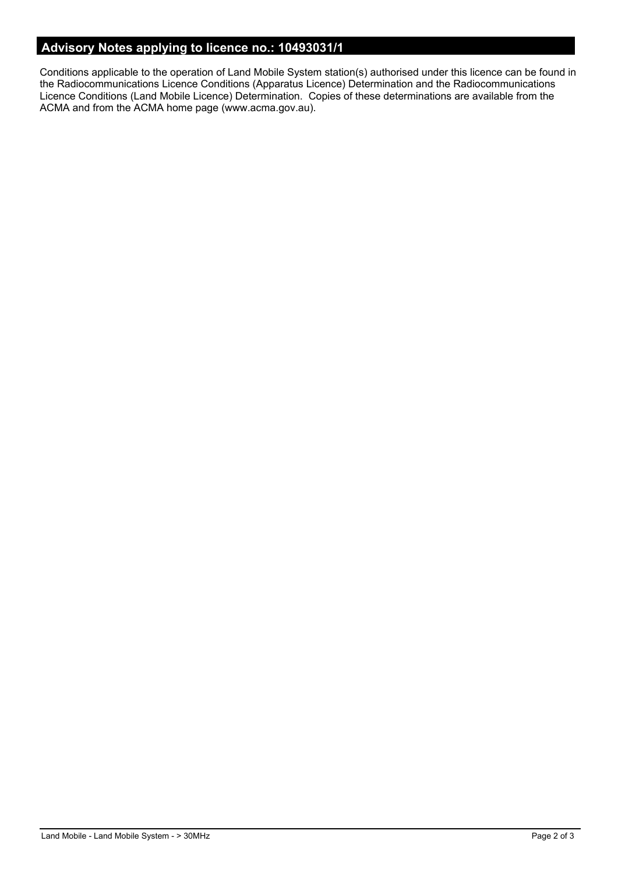## **Advisory Notes applying to licence no.: 10493031/1**

Conditions applicable to the operation of Land Mobile System station(s) authorised under this licence can be found in the Radiocommunications Licence Conditions (Apparatus Licence) Determination and the Radiocommunications Licence Conditions (Land Mobile Licence) Determination. Copies of these determinations are available from the ACMA and from the ACMA home page (www.acma.gov.au).